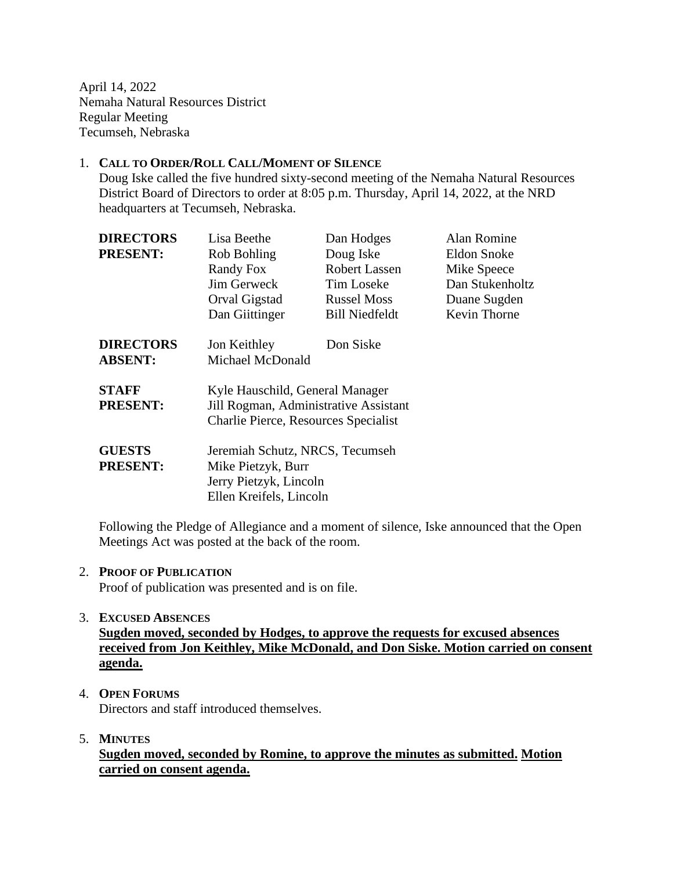April 14, 2022 Nemaha Natural Resources District Regular Meeting Tecumseh, Nebraska

#### 1. **CALL TO ORDER/ROLL CALL/MOMENT OF SILENCE**

Doug Iske called the five hundred sixty-second meeting of the Nemaha Natural Resources District Board of Directors to order at 8:05 p.m. Thursday, April 14, 2022, at the NRD headquarters at Tecumseh, Nebraska.

| <b>DIRECTORS</b> | Lisa Beethe                           | Dan Hodges            | Alan Romine     |  |  |
|------------------|---------------------------------------|-----------------------|-----------------|--|--|
| <b>PRESENT:</b>  | Rob Bohling                           | Doug Iske             | Eldon Snoke     |  |  |
|                  | Randy Fox                             | Robert Lassen         | Mike Speece     |  |  |
|                  | <b>Jim Gerweck</b>                    | Tim Loseke            | Dan Stukenholtz |  |  |
|                  | Orval Gigstad                         | <b>Russel Moss</b>    | Duane Sugden    |  |  |
|                  | Dan Giittinger                        | <b>Bill Niedfeldt</b> | Kevin Thorne    |  |  |
| <b>DIRECTORS</b> | Jon Keithley                          | Don Siske             |                 |  |  |
| <b>ABSENT:</b>   | Michael McDonald                      |                       |                 |  |  |
| <b>STAFF</b>     | Kyle Hauschild, General Manager       |                       |                 |  |  |
| <b>PRESENT:</b>  | Jill Rogman, Administrative Assistant |                       |                 |  |  |
|                  | Charlie Pierce, Resources Specialist  |                       |                 |  |  |
| <b>GUESTS</b>    | Jeremiah Schutz, NRCS, Tecumseh       |                       |                 |  |  |
| <b>PRESENT:</b>  | Mike Pietzyk, Burr                    |                       |                 |  |  |
|                  | Jerry Pietzyk, Lincoln                |                       |                 |  |  |
|                  | Ellen Kreifels, Lincoln               |                       |                 |  |  |

Following the Pledge of Allegiance and a moment of silence, Iske announced that the Open Meetings Act was posted at the back of the room.

#### 2. **PROOF OF PUBLICATION**

Proof of publication was presented and is on file.

#### 3. **EXCUSED ABSENCES**

**Sugden moved, seconded by Hodges, to approve the requests for excused absences received from Jon Keithley, Mike McDonald, and Don Siske. Motion carried on consent agenda.**

- 4. **OPEN FORUMS** Directors and staff introduced themselves.
- 5. **MINUTES**

**Sugden moved, seconded by Romine, to approve the minutes as submitted. Motion carried on consent agenda.**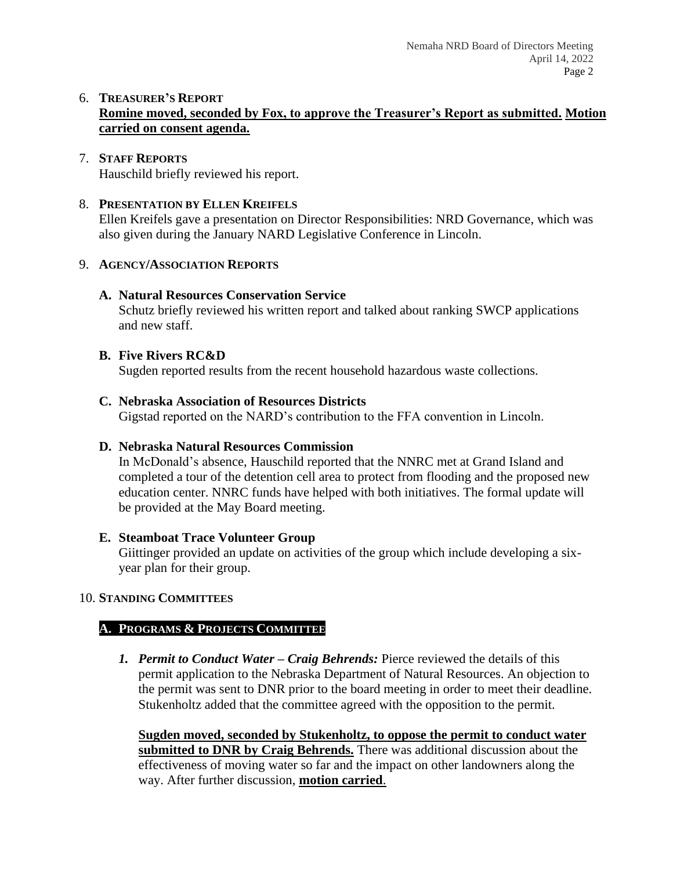## 6. **TREASURER'S REPORT Romine moved, seconded by Fox, to approve the Treasurer's Report as submitted. Motion carried on consent agenda.**

#### 7. **STAFF REPORTS** Hauschild briefly reviewed his report.

### 8. **PRESENTATION BY ELLEN KREIFELS**

Ellen Kreifels gave a presentation on Director Responsibilities: NRD Governance, which was also given during the January NARD Legislative Conference in Lincoln.

## 9. **AGENCY/ASSOCIATION REPORTS**

## **A. Natural Resources Conservation Service**

Schutz briefly reviewed his written report and talked about ranking SWCP applications and new staff.

## **B. Five Rivers RC&D**

Sugden reported results from the recent household hazardous waste collections.

## **C. Nebraska Association of Resources Districts**

Gigstad reported on the NARD's contribution to the FFA convention in Lincoln.

# **D. Nebraska Natural Resources Commission**

In McDonald's absence, Hauschild reported that the NNRC met at Grand Island and completed a tour of the detention cell area to protect from flooding and the proposed new education center. NNRC funds have helped with both initiatives. The formal update will be provided at the May Board meeting.

### **E. Steamboat Trace Volunteer Group**

Giittinger provided an update on activities of the group which include developing a sixyear plan for their group.

# 10. **STANDING COMMITTEES**

# **A. PROGRAMS & PROJECTS COMMITTEE**

*1. Permit to Conduct Water – Craig Behrends:* Pierce reviewed the details of this permit application to the Nebraska Department of Natural Resources. An objection to the permit was sent to DNR prior to the board meeting in order to meet their deadline. Stukenholtz added that the committee agreed with the opposition to the permit.

**Sugden moved, seconded by Stukenholtz, to oppose the permit to conduct water submitted to DNR by Craig Behrends.** There was additional discussion about the effectiveness of moving water so far and the impact on other landowners along the way. After further discussion, **motion carried**.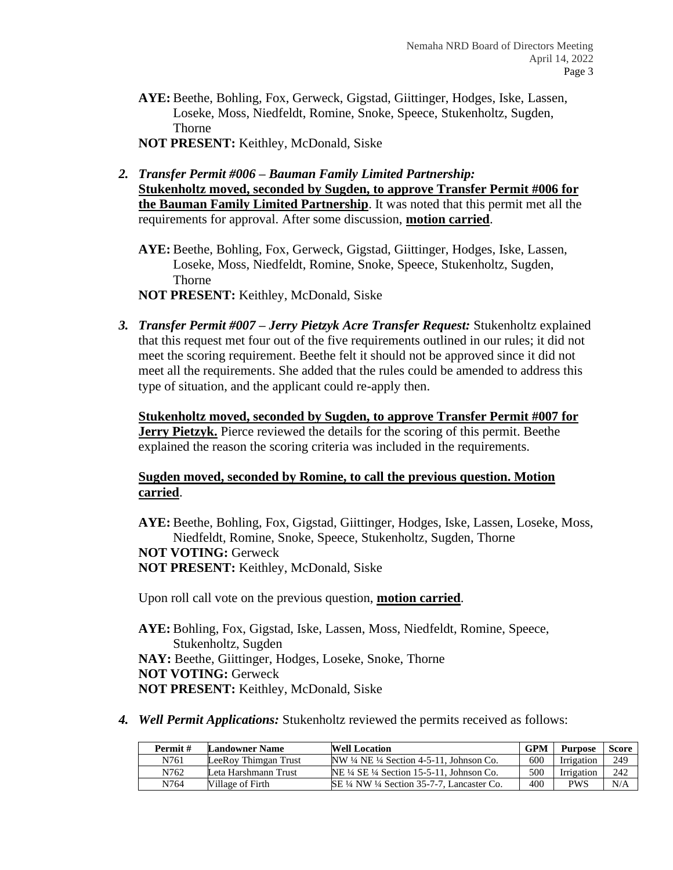**AYE:** Beethe, Bohling, Fox, Gerweck, Gigstad, Giittinger, Hodges, Iske, Lassen, Loseke, Moss, Niedfeldt, Romine, Snoke, Speece, Stukenholtz, Sugden, Thorne

**NOT PRESENT:** Keithley, McDonald, Siske

*2. Transfer Permit #006 – Bauman Family Limited Partnership:*  **Stukenholtz moved, seconded by Sugden, to approve Transfer Permit #006 for the Bauman Family Limited Partnership**. It was noted that this permit met all the requirements for approval. After some discussion, **motion carried**.

**AYE:** Beethe, Bohling, Fox, Gerweck, Gigstad, Giittinger, Hodges, Iske, Lassen, Loseke, Moss, Niedfeldt, Romine, Snoke, Speece, Stukenholtz, Sugden, Thorne **NOT PRESENT:** Keithley, McDonald, Siske

*3. Transfer Permit #007 – Jerry Pietzyk Acre Transfer Request:* Stukenholtz explained that this request met four out of the five requirements outlined in our rules; it did not meet the scoring requirement. Beethe felt it should not be approved since it did not meet all the requirements. She added that the rules could be amended to address this type of situation, and the applicant could re-apply then.

**Stukenholtz moved, seconded by Sugden, to approve Transfer Permit #007 for Jerry Pietzyk.** Pierce reviewed the details for the scoring of this permit. Beethe explained the reason the scoring criteria was included in the requirements.

### **Sugden moved, seconded by Romine, to call the previous question. Motion carried**.

**AYE:** Beethe, Bohling, Fox, Gigstad, Giittinger, Hodges, Iske, Lassen, Loseke, Moss, Niedfeldt, Romine, Snoke, Speece, Stukenholtz, Sugden, Thorne **NOT VOTING:** Gerweck **NOT PRESENT:** Keithley, McDonald, Siske

Upon roll call vote on the previous question, **motion carried**.

**AYE:** Bohling, Fox, Gigstad, Iske, Lassen, Moss, Niedfeldt, Romine, Speece, Stukenholtz, Sugden **NAY:** Beethe, Giittinger, Hodges, Loseke, Snoke, Thorne **NOT VOTING:** Gerweck **NOT PRESENT:** Keithley, McDonald, Siske

*4. Well Permit Applications:* Stukenholtz reviewed the permits received as follows:

| Permit# | <b>Landowner Name</b> | <b>Well Location</b>                                         | <b>GPM</b> | <b>Purpose</b> | <b>Score</b> |
|---------|-----------------------|--------------------------------------------------------------|------------|----------------|--------------|
| N761    | LeeRov Thimgan Trust  | $NW \frac{1}{4} NE \frac{1}{4}$ Section 4-5-11. Johnson Co.  | 600        | Irrigation     | 249          |
| N762    | Leta Harshmann Trust  | $NE \frac{1}{4} SE \frac{1}{4}$ Section 15-5-11. Johnson Co. | 500        | Irrigation     | 242          |
| N764    | Village of Firth      | SE ¼ NW ¼ Section 35-7-7. Lancaster Co.                      | 400        | PWS            | N/A          |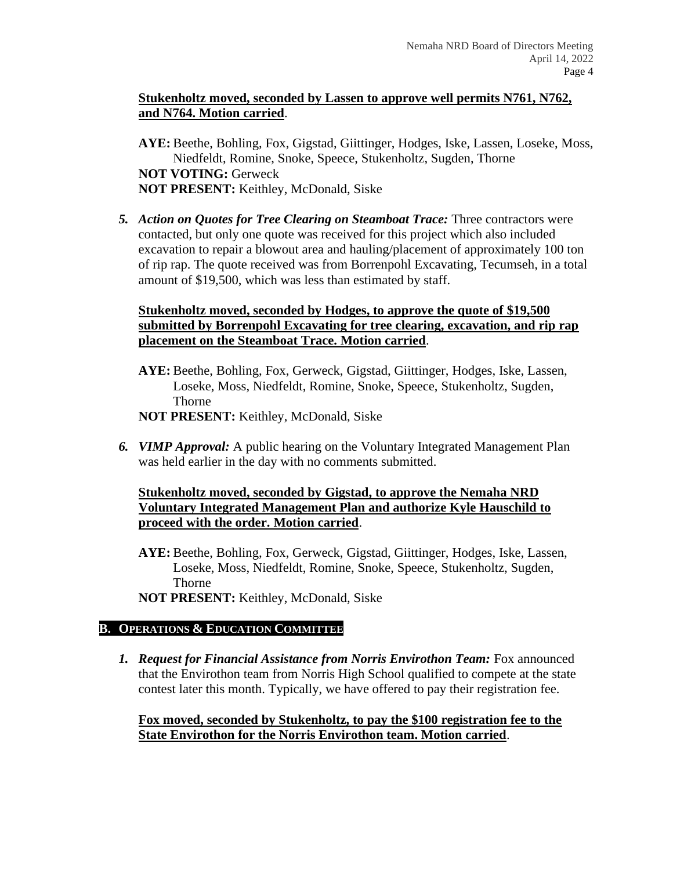### **Stukenholtz moved, seconded by Lassen to approve well permits N761, N762, and N764. Motion carried**.

**AYE:** Beethe, Bohling, Fox, Gigstad, Giittinger, Hodges, Iske, Lassen, Loseke, Moss, Niedfeldt, Romine, Snoke, Speece, Stukenholtz, Sugden, Thorne **NOT VOTING:** Gerweck **NOT PRESENT:** Keithley, McDonald, Siske

*5. Action on Quotes for Tree Clearing on Steamboat Trace:* Three contractors were contacted, but only one quote was received for this project which also included excavation to repair a blowout area and hauling/placement of approximately 100 ton of rip rap. The quote received was from Borrenpohl Excavating, Tecumseh, in a total amount of \$19,500, which was less than estimated by staff.

### **Stukenholtz moved, seconded by Hodges, to approve the quote of \$19,500 submitted by Borrenpohl Excavating for tree clearing, excavation, and rip rap placement on the Steamboat Trace. Motion carried**.

- **AYE:** Beethe, Bohling, Fox, Gerweck, Gigstad, Giittinger, Hodges, Iske, Lassen, Loseke, Moss, Niedfeldt, Romine, Snoke, Speece, Stukenholtz, Sugden, Thorne
- **NOT PRESENT:** Keithley, McDonald, Siske
- *6. VIMP Approval:* A public hearing on the Voluntary Integrated Management Plan was held earlier in the day with no comments submitted.

### **Stukenholtz moved, seconded by Gigstad, to approve the Nemaha NRD Voluntary Integrated Management Plan and authorize Kyle Hauschild to proceed with the order. Motion carried**.

- **AYE:** Beethe, Bohling, Fox, Gerweck, Gigstad, Giittinger, Hodges, Iske, Lassen, Loseke, Moss, Niedfeldt, Romine, Snoke, Speece, Stukenholtz, Sugden, Thorne
- **NOT PRESENT:** Keithley, McDonald, Siske

# **B. OPERATIONS & EDUCATION COMMITTEE**

*1. Request for Financial Assistance from Norris Envirothon Team:* Fox announced that the Envirothon team from Norris High School qualified to compete at the state contest later this month. Typically, we have offered to pay their registration fee.

**Fox moved, seconded by Stukenholtz, to pay the \$100 registration fee to the State Envirothon for the Norris Envirothon team. Motion carried**.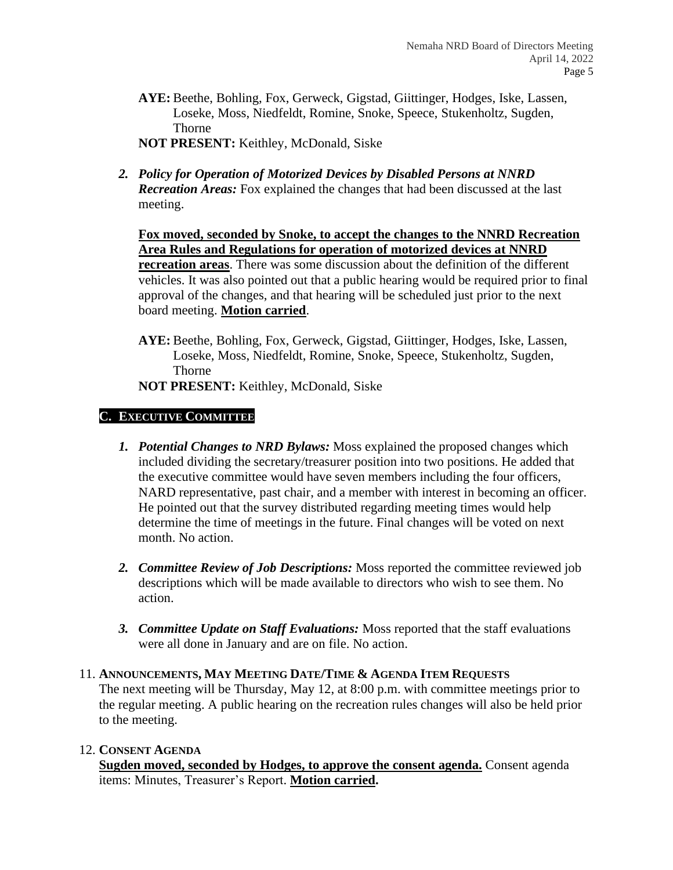**AYE:** Beethe, Bohling, Fox, Gerweck, Gigstad, Giittinger, Hodges, Iske, Lassen, Loseke, Moss, Niedfeldt, Romine, Snoke, Speece, Stukenholtz, Sugden, Thorne

**NOT PRESENT:** Keithley, McDonald, Siske

*2. Policy for Operation of Motorized Devices by Disabled Persons at NNRD Recreation Areas:* Fox explained the changes that had been discussed at the last meeting.

**Fox moved, seconded by Snoke, to accept the changes to the NNRD Recreation Area Rules and Regulations for operation of motorized devices at NNRD recreation areas**. There was some discussion about the definition of the different vehicles. It was also pointed out that a public hearing would be required prior to final approval of the changes, and that hearing will be scheduled just prior to the next board meeting. **Motion carried**.

**AYE:** Beethe, Bohling, Fox, Gerweck, Gigstad, Giittinger, Hodges, Iske, Lassen, Loseke, Moss, Niedfeldt, Romine, Snoke, Speece, Stukenholtz, Sugden, Thorne

**NOT PRESENT:** Keithley, McDonald, Siske

### **C. EXECUTIVE COMMITTEE**

- *1. Potential Changes to NRD Bylaws:* Moss explained the proposed changes which included dividing the secretary/treasurer position into two positions. He added that the executive committee would have seven members including the four officers, NARD representative, past chair, and a member with interest in becoming an officer. He pointed out that the survey distributed regarding meeting times would help determine the time of meetings in the future. Final changes will be voted on next month. No action.
- *2. Committee Review of Job Descriptions:* Moss reported the committee reviewed job descriptions which will be made available to directors who wish to see them. No action.
- *3. Committee Update on Staff Evaluations:* Moss reported that the staff evaluations were all done in January and are on file. No action.

### 11. **ANNOUNCEMENTS, MAY MEETING DATE/TIME & AGENDA ITEM REQUESTS**

The next meeting will be Thursday, May 12, at 8:00 p.m. with committee meetings prior to the regular meeting. A public hearing on the recreation rules changes will also be held prior to the meeting.

### 12. **CONSENT AGENDA**

**Sugden moved, seconded by Hodges, to approve the consent agenda.** Consent agenda items: Minutes, Treasurer's Report. **Motion carried.**